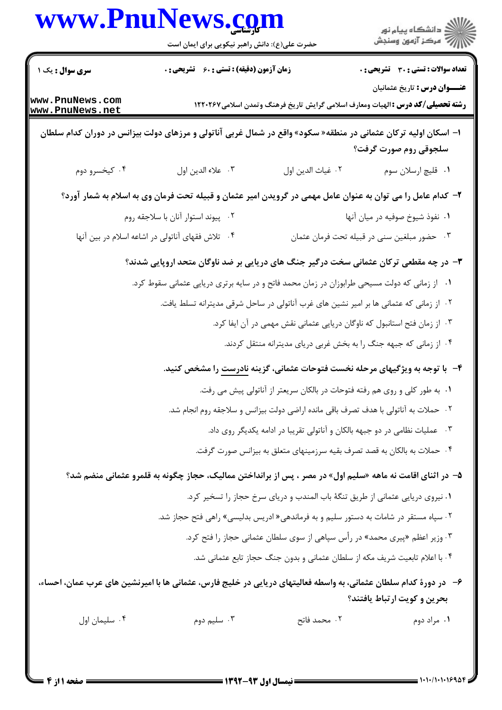|                                    | www.PnuNews.com<br>حضرت علی(ع): دانش راهبر نیکویی برای ایمان است                                                  |                                                                                     |                                                                                                                                |
|------------------------------------|-------------------------------------------------------------------------------------------------------------------|-------------------------------------------------------------------------------------|--------------------------------------------------------------------------------------------------------------------------------|
| <b>سری سوال :</b> یک ۱             | <b>زمان آزمون (دقیقه) : تستی : 60 ٪ تشریحی : 0</b>                                                                |                                                                                     | <b>تعداد سوالات : تستی : 30 ٪ تشریحی : 0</b>                                                                                   |
| www.PnuNews.com<br>www.PnuNews.net |                                                                                                                   |                                                                                     | <b>عنـــوان درس :</b> تاريخ عثمانيان<br><b>رشته تحصیلی/کد درس :</b> الهیات ومعارف اسلامی گرایش تاریخ فرهنگ وتمدن اسلامی1۲۲۰۲۶۷ |
|                                    | ا– اسکان اولیه ترکان عثمانی در منطقه« سکود» واقع در شمال غربی آناتولی و مرزهای دولت بیزانس در دوران کدام سلطان    |                                                                                     | سلجوقی روم صورت گرفت؟                                                                                                          |
| ۰۴ کیخسرو دوم                      | ٠٣ علاء الدين اول                                                                                                 | ٠٢ غياث الدين اول                                                                   | ٠١ قليچ ارسلان سوم                                                                                                             |
|                                    | ۲– کدام عامل را می توان به عنوان عامل مهمی در گرویدن امیر عثمان و قبیله تحت فرمان وی به اسلام به شمار آورد؟       |                                                                                     |                                                                                                                                |
|                                    | ۰۲ پیوند استوار آنان با سلاجقه روم                                                                                |                                                                                     | ٠١. نفوذ شيوخ صوفيه در ميان آنها                                                                                               |
|                                    | ۰۴ تلاش فقهای آناتولی در اشاعه اسلام در بین آنها                                                                  |                                                                                     | ۰۳ حضور مبلغین سنی در قبیله تحت فرمان عثمان                                                                                    |
|                                    | ۳- در چه مقطعی ترکان عثمانی سخت درگیر جنگ های دریایی بر ضد ناوگان متحد اروپایی شدند؟                              |                                                                                     |                                                                                                                                |
|                                    | ۰۱ از زمانی که دولت مسیحی طرابوزان در زمان محمد فاتح و در سایه برتری دریایی عثمانی سقوط کرد.                      |                                                                                     |                                                                                                                                |
|                                    | ۰۲ از زمانی که عثمانی ها بر امیر نشین های غرب آناتولی در ساحل شرقی مدیترانه تسلط یافت.                            |                                                                                     |                                                                                                                                |
|                                    |                                                                                                                   | ۰۳ از زمان فتح استانبول که ناوگان دریایی عثمانی نقش مهمی در آن ایفا کرد.            |                                                                                                                                |
|                                    |                                                                                                                   | ۰۴ از زمانی که جبهه جنگ را به بخش غربی دریای مدیترانه منتقل کردند.                  |                                                                                                                                |
|                                    |                                                                                                                   |                                                                                     | ۴- با توجه به ویژگیهای مرحله نخست فتوحات عثمانی، گزینه <u>نادرست</u> را مشخص کنید.                                             |
|                                    |                                                                                                                   | ۰۱ به طور کلی و روی هم رفته فتوحات در بالکان سریعتر از آناتولی پیش می رفت.          |                                                                                                                                |
|                                    |                                                                                                                   | ۰۲ حملات به آناتولی با هدف تصرف باقی مانده اراضی دولت بیزانس و سلاجقه روم انجام شد. |                                                                                                                                |
|                                    |                                                                                                                   | ۰۳ عملیات نظامی در دو جبهه بالکان و آناتولی تقریبا در ادامه یکدیگر روی داد.         |                                                                                                                                |
|                                    |                                                                                                                   | ۰۴ حملات به بالکان به قصد تصرف بقیه سرزمینهای متعلق به بیزانس صورت گرفت.            |                                                                                                                                |
|                                    | ۵– در اثنای اقامت نه ماهه «سلیم اول» در مصر ، پس از برانداختن ممالیک، حجاز چگونه به قلمرو عثمانی منضم شد؟         |                                                                                     |                                                                                                                                |
|                                    |                                                                                                                   | ١. نيروى دريايي عثماني از طريق تنگهٔ باب المندب و درياي سرخ حجاز را تسخير كرد.      |                                                                                                                                |
|                                    | ۰۲ سپاه مستقر در شامات به دستور سلیم و به فرماندهی« ادریس بدلیسی» راهی فتح حجاز شد.                               |                                                                                     |                                                                                                                                |
|                                    |                                                                                                                   | ۰۳ وزیر اعظم «پیری محمد» در رأس سپاهی از سوی سلطان عثمانی حجاز را فتح کرد.          |                                                                                                                                |
|                                    |                                                                                                                   | ۰۴ با اعلام تابعیت شریف مکه از سلطان عثمانی و بدون جنگ حجاز تابع عثمانی شد.         |                                                                                                                                |
|                                    | ۶– در دورهٔ کدام سلطان عثمانی، به واسطه فعالیتهای دریایی در خلیج فارس، عثمانی ها با امیرنشین های عرب عمان، احساء، |                                                                                     | بحرين و كويت ارتباط يافتند؟                                                                                                    |
| ۰۴ سلیمان اول                      | ۰۳ سلیم دوم                                                                                                       | ۰۲ محمد فاتح                                                                        | ۰۱ مراد دوم                                                                                                                    |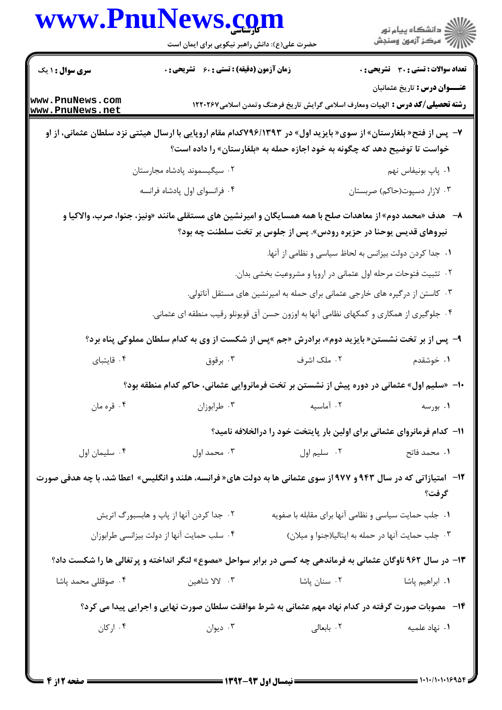|                                    | www.PnuNews.com<br>حضرت علی(ع): دانش راهبر نیکویی برای ایمان است |                                                                                                                                                                                               | ا∭د دانشگاه پيام نور<br> √ مرکز آزمون وسنجش  |
|------------------------------------|------------------------------------------------------------------|-----------------------------------------------------------------------------------------------------------------------------------------------------------------------------------------------|----------------------------------------------|
| <b>سری سوال : ۱ یک</b>             | <b>زمان آزمون (دقیقه) : تستی : 60 ٪ تشریحی : 0</b>               |                                                                                                                                                                                               | <b>تعداد سوالات : تستی : 30 ٪ تشریحی : 0</b> |
| www.PnuNews.com<br>www.PnuNews.net |                                                                  | <b>رشته تحصیلی/کد درس :</b> الهیات ومعارف اسلامی گرایش تاریخ فرهنگ وتمدن اسلامی۱۲۲۰۲۶۷                                                                                                        | <b>عنـــوان درس :</b> تاریخ عثمانیان         |
|                                    |                                                                  | ۷- پس از فتح« بلغارستان» از سوی« بایزید اول» در ۷۹۶/۱۳۹۳کدام مقام اروپایی با ارسال هیئتی نزد سلطان عثمانی، از او<br>خواست تا توضیح دهد که چگونه به خود اجازه حمله به «بلغارستان» را داده است؟ |                                              |
|                                    | ۲. سیگیسموند پادشاه مجارستان                                     |                                                                                                                                                                                               | ٠١. پاپ بونيفاس نهم                          |
|                                    | ۰۴ فرانسوای اول پادشاه فرانسه                                    |                                                                                                                                                                                               | ۰۳ لازار دسپوت(حاکم) صربستان                 |
|                                    |                                                                  | ۸– هدف «محمد دوم» از معاهدات صلح با همه همسایگان و امیرنشین های مستقلی مانند «ونیز، جنوا، صرب، والاکیا و<br>نیروهای قدیس یوحنا در حزیره رودس». پس از جلوس بر تخت سلطنت چه بود؟                |                                              |
|                                    |                                                                  | ٠١. جدا كردن دولت بيزانس به لحاظ سياسي و نظامي از آنها.                                                                                                                                       |                                              |
|                                    |                                                                  | ۰۲ تثبیت فتوحات مرحله اول عثمانی در اروپا و مشروعیت بخشی بدان.                                                                                                                                |                                              |
|                                    |                                                                  | ۰۳ کاستن از درگیره های خارجی عثمانی برای حمله به امیرنشین های مستقل آناتولی.<br>۰۴ جلوگیری از همکاری و کمکهای نظامی آنها به اوزون حسن آق قویونلو رقیب منطقه ای عثمانی.                        |                                              |
|                                    |                                                                  | ۹- پس از بر تخت نشستن« بایزید دوم»، برادرش «جم »پس از شکست از وی به کدام سلطان مملوکی پناه برد؟                                                                                               |                                              |
| ۰۴ قايتباي                         | برقوق $\cdot$ ۳                                                  | ۰۲ ملک اشرف                                                                                                                                                                                   | ۰۱ خوشقدم                                    |
|                                    |                                                                  | -  «سلیم اول» عثمانی در دوره پیش از نشستن بر تخت فرمانروایی عثمانی، حاکم کدام منطقه بود؟                                                                                                      |                                              |
| ۰۴ قره مان                         | ۰۳ طرابوزان                                                      | ۰۲ آماسیه                                                                                                                                                                                     | <b>۱.</b> بورسه                              |
|                                    |                                                                  | <b>۱۱</b> - کدام فرمانروای عثمانی برای اولین بار پایتخت خود را درالخلافه نامید؟                                                                                                               |                                              |
| ۰۴ سلیمان اول                      | ۰۳ محمد اول                                                      | ۰۲ سلیم اول                                                                                                                                                                                   | ٠١. محمد فاتح                                |
|                                    |                                                                  | <b>۱۲</b> - امتیازاتی که در سال ۹۴۳ و ۹۷۷ از سوی عثمانی ها به دولت های« فرانسه، هلند و انگلیس» اعطا شد، با چه هدفی صورت                                                                       | گرفت؟                                        |
|                                    | ۰۲ جدا کردن آنها از پاپ و هابسبورگ اتریش                         | ۰۱ جلب حمایت سیاسی و نظامی آنها برای مقابله با صفویه                                                                                                                                          |                                              |
|                                    | ۰۴ سلب حمایت آنها از دولت بیزانسی طرابوزان                       | ۰۳ جلب حمايت آنها در حمله به ايتاليا(جنوا و ميلان)                                                                                                                                            |                                              |
|                                    |                                                                  | ۱۳- در سال ۹۶۲ ناوگان عثمانی به فرماندهی چه کسی در برابر سواحل «مصوع» لنگر انداخته و پرتغالی ها را شکست داد؟                                                                                  |                                              |
| ۰۴ صوقللی محمد پاشا                | ۰۳ لالا شاهين                                                    | ۰۲ سنان پاشا                                                                                                                                                                                  | <b>۱</b> . ابراهیم پاشا                      |
|                                    |                                                                  | ۱۴-۔ مصوبات صورت گرفته در کدام نهاد مهم عثمانی به شرط موافقت سلطان صورت نهایی و اجرایی پیدا می کرد؟                                                                                           |                                              |
| ۰۴ ارکان                           | ۰۳ دیوان                                                         | ۰۲ بابعالی                                                                                                                                                                                    | ۰۱ نهاد علمیه                                |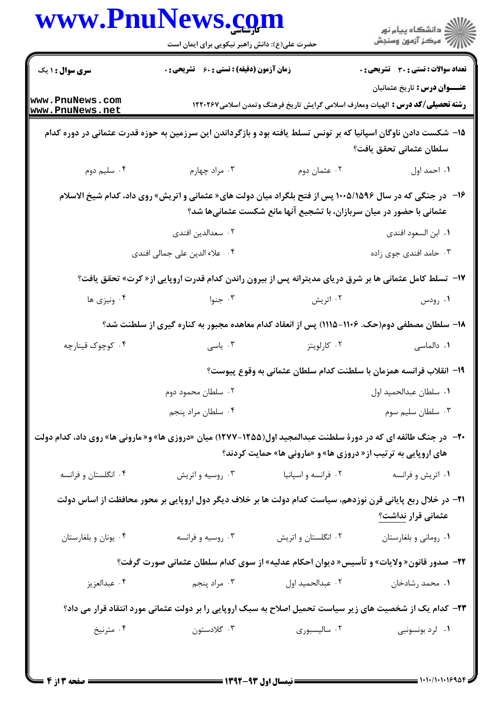|                                    | www.PnuNews.com                                                                                                 |                                                                      |                                                                                                                                |  |
|------------------------------------|-----------------------------------------------------------------------------------------------------------------|----------------------------------------------------------------------|--------------------------------------------------------------------------------------------------------------------------------|--|
|                                    | حضرت علی(ع): دانش راهبر نیکویی برای ایمان است                                                                   |                                                                      | ر<br>دانشڪاه پيام نور)<br>اڳ مرڪز آزمون وسنڊش                                                                                  |  |
| <b>سری سوال : ۱ یک</b>             | <b>زمان آزمون (دقیقه) : تستی : 60 ٪ تشریحی : 0</b>                                                              |                                                                      | <b>تعداد سوالات : تستی : 30 ٪ تشریحی : 0</b>                                                                                   |  |
| www.PnuNews.com<br>www.PnuNews.net |                                                                                                                 |                                                                      | <b>عنـــوان درس :</b> تاريخ عثمانيان<br><b>رشته تحصیلی/کد درس :</b> الهیات ومعارف اسلامی گرایش تاریخ فرهنگ وتمدن اسلامی۱۲۲۰۲۶۷ |  |
|                                    | ۱۵– شکست دادن ناوگان اسپانیا که بر تونس تسلط یافته بود و بازگرداندن این سرزمین به حوزه قدرت عثمانی در دوره کدام |                                                                      | سلطان عثمانى تحقق يافت؟                                                                                                        |  |
| ۰۴ سلیم دوم                        | ۰۳ مراد چهارم                                                                                                   | ۰۲ عثمان دوم                                                         | ١. احمد اول                                                                                                                    |  |
|                                    | ۱۶-٪ در جنگی که در سال ۱۰۰۵/۱۵۹۶ پس از فتح بلگراد میان دولت های« عثمانی و اتریش» روی داد، کدام شیخ الاسلام      | عثمانی با حضور در میان سربازان، با تشجیع آنها مانع شکست عثمانیها شد؟ |                                                                                                                                |  |
|                                    | ۰۲ سعدالدین افندی                                                                                               |                                                                      | ٠١. ابن السعود افندي                                                                                                           |  |
|                                    | ۰۴ علاء الدين على جمالي افندي                                                                                   |                                                                      | ۰۳ حامد افندی جوی زاده                                                                                                         |  |
|                                    | <b>۱۷</b> - تسلط کامل عثمانی ها بر شرق دریای مدیترانه پس از بیرون راندن کدام قدرت اروپایی از « کرت» تحقق یافت؟  |                                                                      |                                                                                                                                |  |
| ۰۴ ونیزی ها                        | ۰۳ جنوا                                                                                                         | ۰۲ اتریش                                                             | ۰۱ رودس                                                                                                                        |  |
|                                    | ۱۸– سلطان مصطفی دوم(حک. ۱۱۰۶–۱۱۱۵) پس از انعقاد کدام معاهده مجبور به کناره گیری از سلطنت شد؟                    |                                                                      |                                                                                                                                |  |
| ۰۴ کوچوک قینارچه                   | ۰۳ ياسى                                                                                                         | ۰۲ کارلویتز                                                          | ۰۱ دالماسی                                                                                                                     |  |
|                                    |                                                                                                                 |                                                                      | ۱۹– انقلاب فرانسه همزمان با سلطنت کدام سلطان عثمانی به وقوع پیوست؟                                                             |  |
|                                    | ۰۲ سلطان محمود دوم                                                                                              |                                                                      | ٠١ سلطان عبدالحميد اول                                                                                                         |  |
|                                    | ۰۴ سلطان مراد پنجم                                                                                              |                                                                      | ۰۳ سلطان سليم سوم                                                                                                              |  |
|                                    | +۲- در جنگ طائفه ای که در دورهٔ سلطنت عبدالمجید اول(۱۲۵۵–۱۲۷۷) میان «دروزی ها» و« مارونی ها» روی داد، کدام دولت | های اروپایی به ترتیب از « دروزی ها» و «مارونی ها» حمایت کردند؟       |                                                                                                                                |  |
| ۰۴ انگلستان و فرانسه               | ۰۳ روسیه و اتریش                                                                                                | ۰۲ فرانسه و اسپانیا                                                  | ۰۱ اتریش و فرانسه                                                                                                              |  |
|                                    | ۲۱– در خلال ربع پایانی قرن نوزدهم، سیاست کدام دولت ها بر خلاف دیگر دول اروپایی بر محور محافظت از اساس دولت      |                                                                      | عثمانی قرار نداشت؟                                                                                                             |  |
| ۰۴ يونان و بلغارستان               | ۰۳ روسیه و فرانسه                                                                                               | ۰۲ انگلستان و اتریش                                                  | ۰۱ روماني و بلغارستان                                                                                                          |  |
|                                    | <b>۲۲</b> – صدور قانون« ولایات» و تأسیس« دیوان احکام عدلیه» از سوی کدام سلطان عثمانی صورت گرفت؟                 |                                                                      |                                                                                                                                |  |
| ۰۴ عبدالعزيز                       | ۰۳ مراد پنجم                                                                                                    | ٠٢ عبدالحميد اول                                                     | ۰۱ محمد رشادخان                                                                                                                |  |
|                                    | ۲۳– کدام یک از شخصیت های زیر سیاست تحمیل اصلاح به سبک اروپایی را بر دولت عثمانی مورد انتقاد قرار می داد؟        |                                                                      |                                                                                                                                |  |
| ۰۴ مترنيخ                          | ۰۳ گلادستون                                                                                                     | ۰۲ سالیسبوری                                                         | ۰۱ لرد بونسونبی                                                                                                                |  |
|                                    |                                                                                                                 |                                                                      |                                                                                                                                |  |